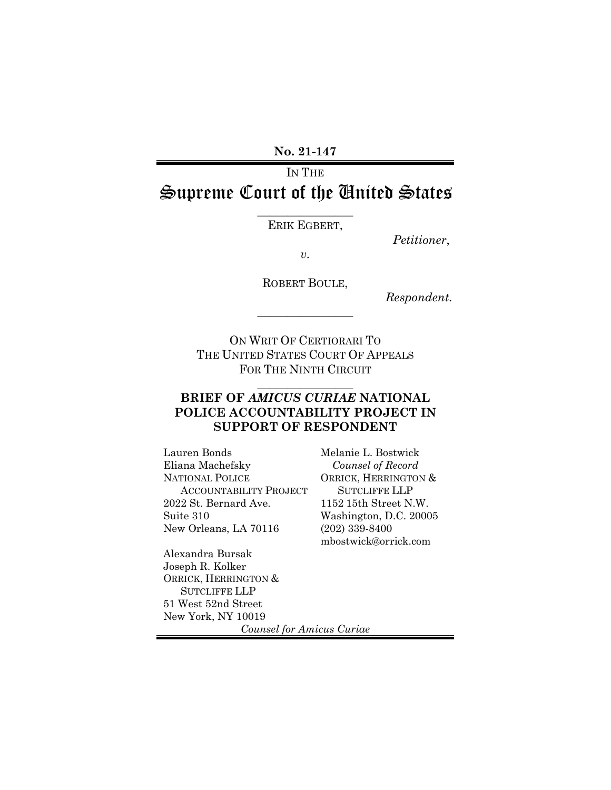**No. 21-147**

# IN THE Supreme Court of the United States

 $\overline{\phantom{a}}$  , where  $\overline{\phantom{a}}$ ERIK EGBERT,

*Petitioner*,

*v.*

ROBERT BOULE,

 $\overline{\phantom{a}}$  , where  $\overline{\phantom{a}}$ 

*Respondent.*

ON WRIT OF CERTIORARI TO THE UNITED STATES COURT OF APPEALS FOR THE NINTH CIRCUIT

### **BRIEF OF** *AMICUS CURIAE* **NATIONAL POLICE ACCOUNTABILITY PROJECT IN SUPPORT OF RESPONDENT**

 $\overline{\phantom{a}}$  , where  $\overline{\phantom{a}}$ 

Lauren Bonds Eliana Machefsky NATIONAL POLICE ACCOUNTABILITY PROJECT 2022 St. Bernard Ave. Suite 310 New Orleans, LA 70116

Melanie L. Bostwick *Counsel of Record* ORRICK, HERRINGTON & SUTCLIFFE LLP 1152 15th Street N.W. Washington, D.C. 20005 (202) 339-8400 mbostwick@orrick.com

Alexandra Bursak Joseph R. Kolker ORRICK, HERRINGTON & SUTCLIFFE LLP 51 West 52nd Street New York, NY 10019

*Counsel for Amicus Curiae*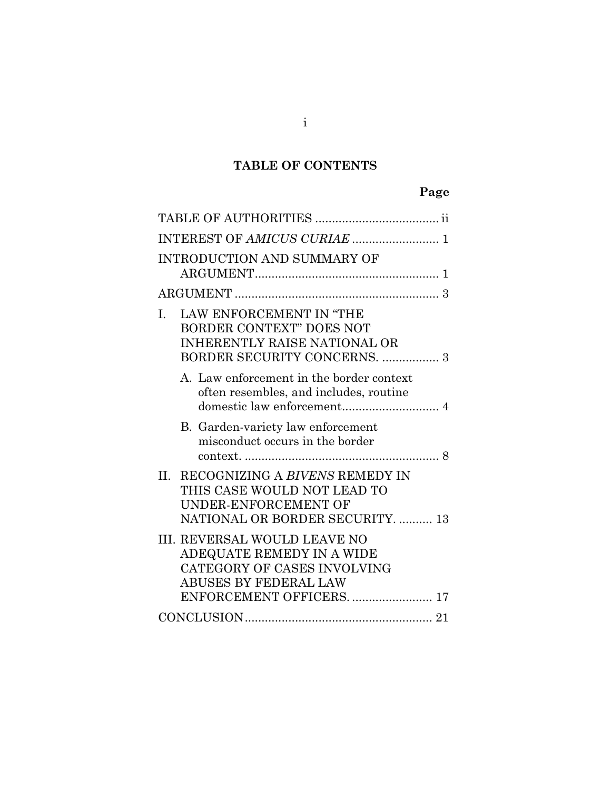## **TABLE OF CONTENTS**

## **Page**

| INTEREST OF AMICUS CURIAE  1                                                                                                                               |
|------------------------------------------------------------------------------------------------------------------------------------------------------------|
| <b>INTRODUCTION AND SUMMARY OF</b>                                                                                                                         |
|                                                                                                                                                            |
| LAW ENFORCEMENT IN "THE<br>$\mathbf{L}$<br><b>BORDER CONTEXT" DOES NOT</b><br>INHERENTLY RAISE NATIONAL OR                                                 |
| A. Law enforcement in the border context<br>often resembles, and includes, routine                                                                         |
| B. Garden-variety law enforcement<br>misconduct occurs in the border                                                                                       |
| II.<br>RECOGNIZING A BIVENS REMEDY IN<br>THIS CASE WOULD NOT LEAD TO<br>UNDER-ENFORCEMENT OF<br>NATIONAL OR BORDER SECURITY.  13                           |
| <b>III. REVERSAL WOULD LEAVE NO</b><br>ADEQUATE REMEDY IN A WIDE<br>CATEGORY OF CASES INVOLVING<br><b>ABUSES BY FEDERAL LAW</b><br>ENFORCEMENT OFFICERS 17 |
|                                                                                                                                                            |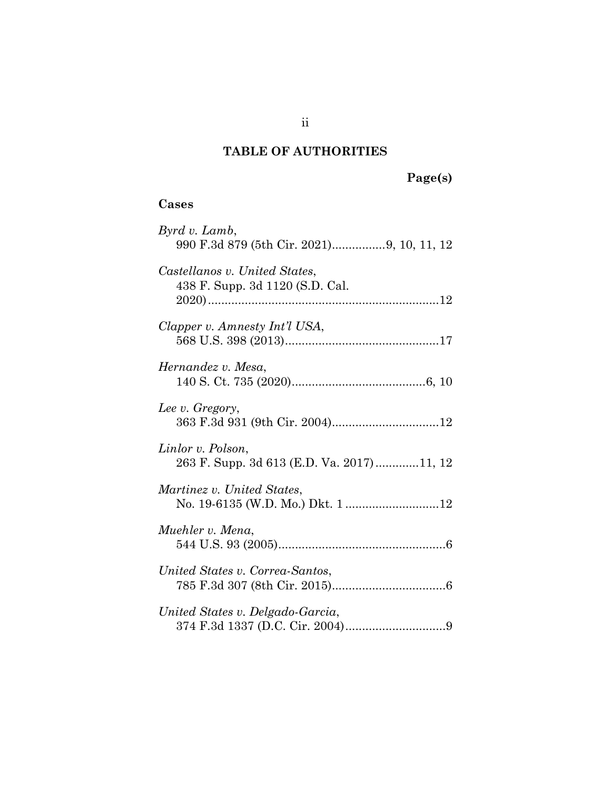### **TABLE OF AUTHORITIES**

### <span id="page-2-0"></span>**Cases**

| Byrd v. Lamb,<br>990 F.3d 879 (5th Cir. 2021)9, 10, 11, 12       |
|------------------------------------------------------------------|
| Castellanos v. United States,<br>438 F. Supp. 3d 1120 (S.D. Cal. |
| Clapper v. Amnesty Int'l USA,                                    |
| Hernandez v. Mesa,                                               |
| Lee v. Gregory,                                                  |
| Linlor v. Polson,<br>263 F. Supp. 3d 613 (E.D. Va. 2017)11, 12   |
| Martinez v. United States,<br>No. 19-6135 (W.D. Mo.) Dkt. 1 12   |
| Muehler v. Mena,                                                 |
| United States v. Correa-Santos,                                  |
| United States v. Delgado-Garcia,                                 |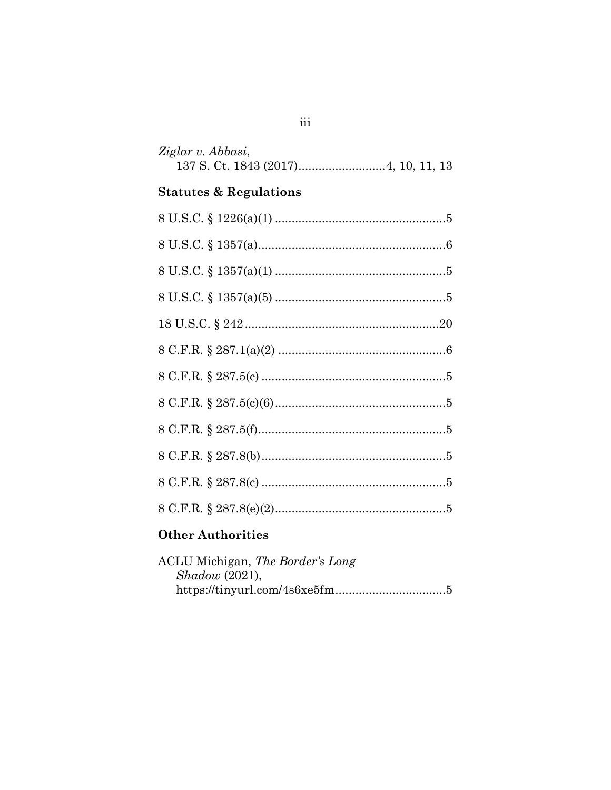| Ziglar v. Abbasi, |  |
|-------------------|--|
|                   |  |

## **Statutes & Regulations**

| <b>Other Authorities</b> |
|--------------------------|

| ACLU Michigan, The Border's Long |  |
|----------------------------------|--|
| Shadow(2021),                    |  |
|                                  |  |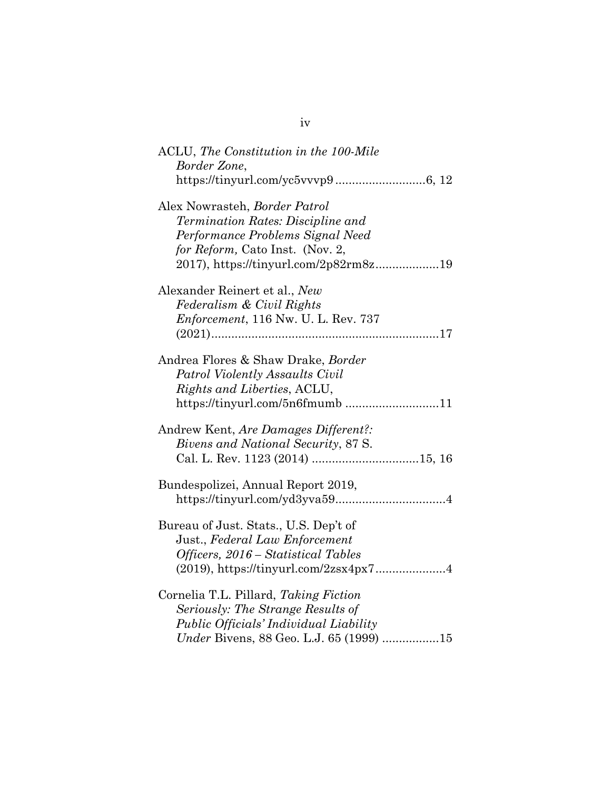| ACLU, The Constitution in the 100-Mile<br>Border Zone,                                                                                                                             |
|------------------------------------------------------------------------------------------------------------------------------------------------------------------------------------|
|                                                                                                                                                                                    |
| Alex Nowrasteh, Border Patrol<br>Termination Rates: Discipline and<br>Performance Problems Signal Need<br>for Reform, Cato Inst. (Nov. 2,<br>2017), https://tinyurl.com/2p82rm8z19 |
| Alexander Reinert et al., New<br>Federalism & Civil Rights<br>Enforcement, 116 Nw. U. L. Rev. 737                                                                                  |
| Andrea Flores & Shaw Drake, Border<br>Patrol Violently Assaults Civil<br>Rights and Liberties, ACLU,<br>https://tinyurl.com/5n6fmumb11                                             |
| Andrew Kent, Are Damages Different?:<br>Bivens and National Security, 87 S.                                                                                                        |
| Bundespolizei, Annual Report 2019,                                                                                                                                                 |
| Bureau of Just. Stats., U.S. Dep't of<br>Just., Federal Law Enforcement<br>Officers, 2016 – Statistical Tables<br>(2019), https://tinyurl.com/2zsx4px74                            |
| Cornelia T.L. Pillard, Taking Fiction<br>Seriously: The Strange Results of<br>Public Officials' Individual Liability<br>Under Bivens, 88 Geo. L.J. 65 (1999) 15                    |

iv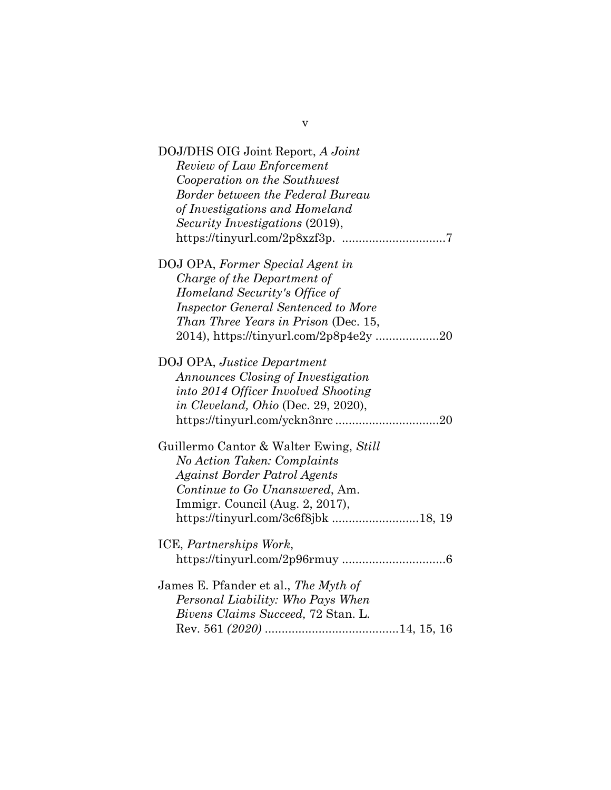| DOJ/DHS OIG Joint Report, A Joint<br>Review of Law Enforcement<br>Cooperation on the Southwest<br>Border between the Federal Bureau<br>of Investigations and Homeland<br><i>Security Investigations (2019),</i>                  |
|----------------------------------------------------------------------------------------------------------------------------------------------------------------------------------------------------------------------------------|
| DOJ OPA, Former Special Agent in<br>Charge of the Department of<br>Homeland Security's Office of<br><b>Inspector General Sentenced to More</b><br>Than Three Years in Prison (Dec. 15,<br>2014), https://tinyurl.com/2p8p4e2y 20 |
| DOJ OPA, Justice Department<br>Announces Closing of Investigation<br>into 2014 Officer Involved Shooting<br>in Cleveland, Ohio (Dec. 29, 2020),                                                                                  |
| Guillermo Cantor & Walter Ewing, Still<br>No Action Taken: Complaints<br>Against Border Patrol Agents<br>Continue to Go Unanswered, Am.<br>Immigr. Council (Aug. 2, 2017),                                                       |
| ICE, Partnerships Work,                                                                                                                                                                                                          |
| James E. Pfander et al., The Myth of<br>Personal Liability: Who Pays When<br>Bivens Claims Succeed, 72 Stan. L.                                                                                                                  |

v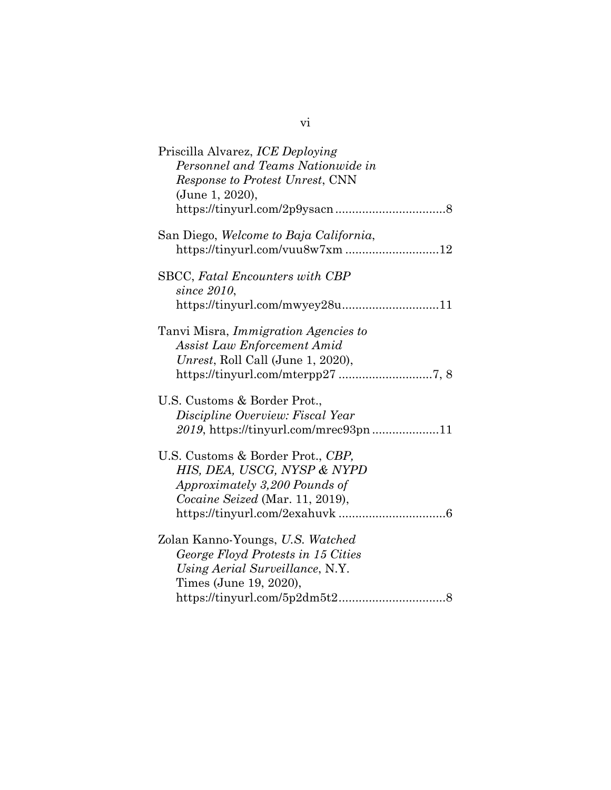vi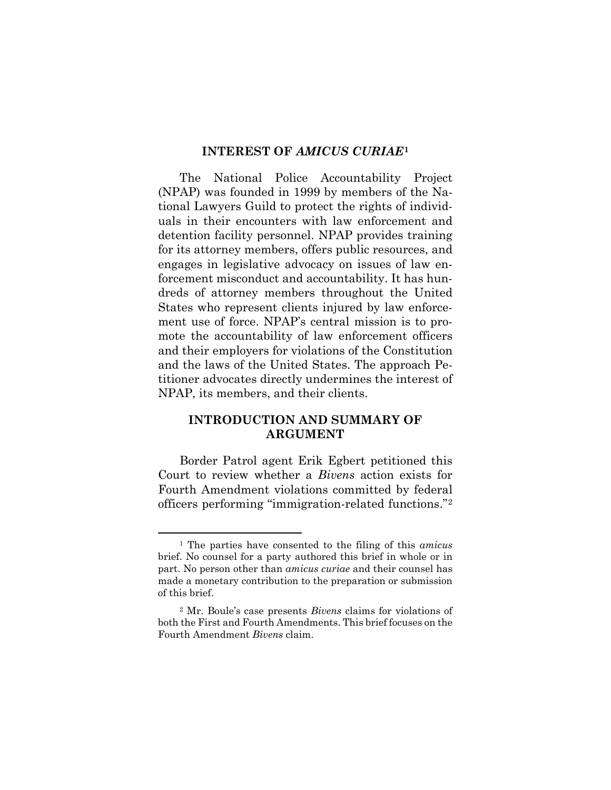#### **INTEREST OF** *AMICUS CURIAE***[1](#page-7-2)**

<span id="page-7-0"></span>The National Police Accountability Project (NPAP) was founded in 1999 by members of the National Lawyers Guild to protect the rights of individuals in their encounters with law enforcement and detention facility personnel. NPAP provides training for its attorney members, offers public resources, and engages in legislative advocacy on issues of law enforcement misconduct and accountability. It has hundreds of attorney members throughout the United States who represent clients injured by law enforcement use of force. NPAP's central mission is to promote the accountability of law enforcement officers and their employers for violations of the Constitution and the laws of the United States. The approach Petitioner advocates directly undermines the interest of NPAP, its members, and their clients.

#### <span id="page-7-1"></span>**INTRODUCTION AND SUMMARY OF ARGUMENT**

Border Patrol agent Erik Egbert petitioned this Court to review whether a *Bivens* action exists for Fourth Amendment violations committed by federal officers performing "immigration-related functions."[2](#page-7-3)

<span id="page-7-2"></span><sup>1</sup> The parties have consented to the filing of this *amicus*  brief. No counsel for a party authored this brief in whole or in part. No person other than *amicus curiae* and their counsel has made a monetary contribution to the preparation or submission of this brief.

<span id="page-7-3"></span><sup>2</sup> Mr. Boule's case presents *Bivens* claims for violations of both the First and Fourth Amendments. This brief focuses on the Fourth Amendment *Bivens* claim.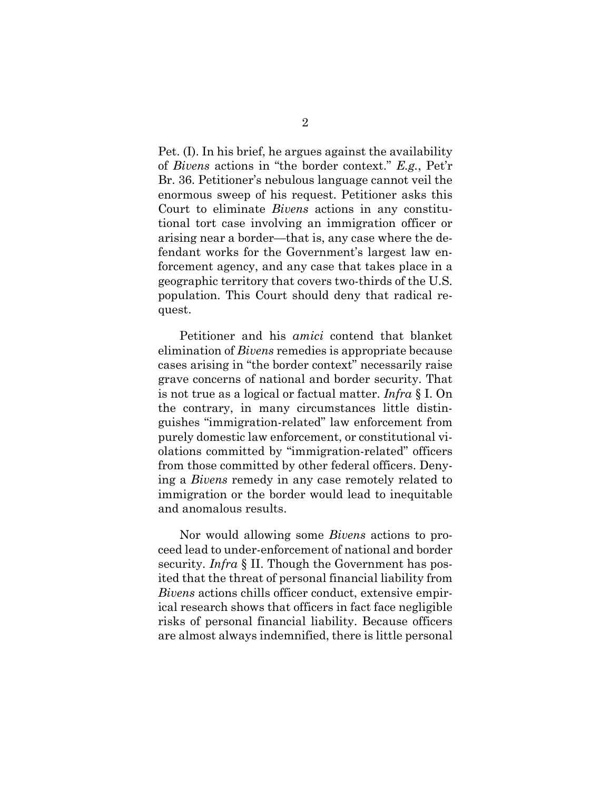Pet. (I). In his brief, he argues against the availability of *Bivens* actions in "the border context." *E.g.*, Pet'r Br. 36. Petitioner's nebulous language cannot veil the enormous sweep of his request. Petitioner asks this Court to eliminate *Bivens* actions in any constitutional tort case involving an immigration officer or arising near a border—that is, any case where the defendant works for the Government's largest law enforcement agency, and any case that takes place in a geographic territory that covers two-thirds of the U.S. population. This Court should deny that radical request.

Petitioner and his *amici* contend that blanket elimination of *Bivens* remedies is appropriate because cases arising in "the border context" necessarily raise grave concerns of national and border security. That is not true as a logical or factual matter. *Infra* § I. On the contrary, in many circumstances little distinguishes "immigration-related" law enforcement from purely domestic law enforcement, or constitutional violations committed by "immigration-related" officers from those committed by other federal officers. Denying a *Bivens* remedy in any case remotely related to immigration or the border would lead to inequitable and anomalous results.

Nor would allowing some *Bivens* actions to proceed lead to under-enforcement of national and border security. *Infra* § II. Though the Government has posited that the threat of personal financial liability from *Bivens* actions chills officer conduct, extensive empirical research shows that officers in fact face negligible risks of personal financial liability. Because officers are almost always indemnified, there is little personal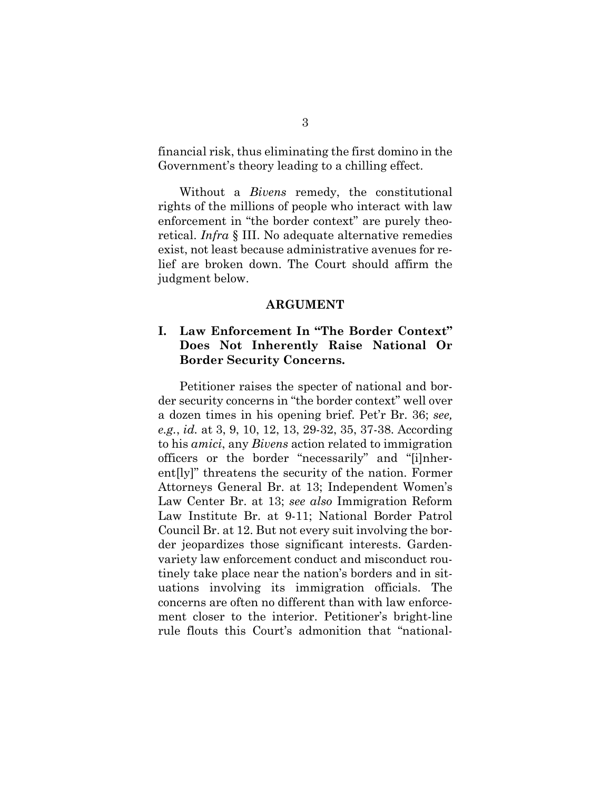financial risk, thus eliminating the first domino in the Government's theory leading to a chilling effect.

Without a *Bivens* remedy, the constitutional rights of the millions of people who interact with law enforcement in "the border context" are purely theoretical. *Infra* § III. No adequate alternative remedies exist, not least because administrative avenues for relief are broken down. The Court should affirm the judgment below.

#### **ARGUMENT**

### <span id="page-9-1"></span><span id="page-9-0"></span>**I. Law Enforcement In "The Border Context" Does Not Inherently Raise National Or Border Security Concerns.**

Petitioner raises the specter of national and border security concerns in "the border context" well over a dozen times in his opening brief. Pet'r Br. 36; *see, e.g.*, *id.* at 3, 9, 10, 12, 13, 29-32, 35, 37-38. According to his *amici*, any *Bivens* action related to immigration officers or the border "necessarily" and "[i]nherent[ly]" threatens the security of the nation. Former Attorneys General Br. at 13; Independent Women's Law Center Br. at 13; *see also* Immigration Reform Law Institute Br. at 9-11; National Border Patrol Council Br. at 12. But not every suit involving the border jeopardizes those significant interests. Gardenvariety law enforcement conduct and misconduct routinely take place near the nation's borders and in situations involving its immigration officials. The concerns are often no different than with law enforcement closer to the interior. Petitioner's bright-line rule flouts this Court's admonition that "national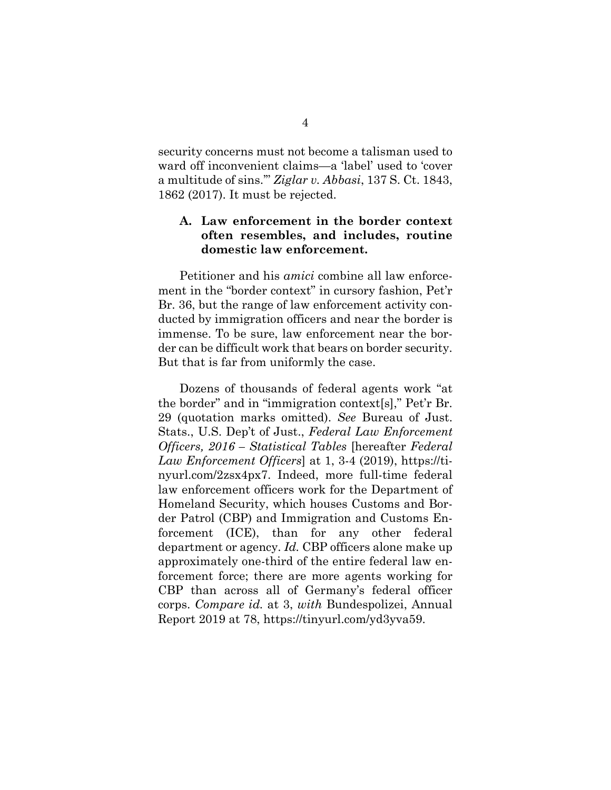security concerns must not become a talisman used to ward off inconvenient claims—a 'label' used to 'cover a multitude of sins.'" *Ziglar v. Abbasi*, 137 S. Ct. 1843, 1862 (2017). It must be rejected.

### <span id="page-10-0"></span>**A. Law enforcement in the border context often resembles, and includes, routine domestic law enforcement.**

Petitioner and his *amici* combine all law enforcement in the "border context" in cursory fashion, Pet'r Br. 36, but the range of law enforcement activity conducted by immigration officers and near the border is immense. To be sure, law enforcement near the border can be difficult work that bears on border security. But that is far from uniformly the case.

Dozens of thousands of federal agents work "at the border" and in "immigration context[s]," Pet'r Br. 29 (quotation marks omitted). *See* Bureau of Just. Stats., U.S. Dep't of Just., *Federal Law Enforcement Officers, 2016 – Statistical Tables* [hereafter *Federal Law Enforcement Officers*] at 1, 3-4 (2019), https://tinyurl.com/2zsx4px7. Indeed, more full-time federal law enforcement officers work for the Department of Homeland Security, which houses Customs and Border Patrol (CBP) and Immigration and Customs Enforcement (ICE), than for any other federal department or agency. *Id.* CBP officers alone make up approximately one-third of the entire federal law enforcement force; there are more agents working for CBP than across all of Germany's federal officer corps. *Compare id.* at 3, *with* Bundespolizei, Annual Report 2019 at 78, https://tinyurl.com/yd3yva59.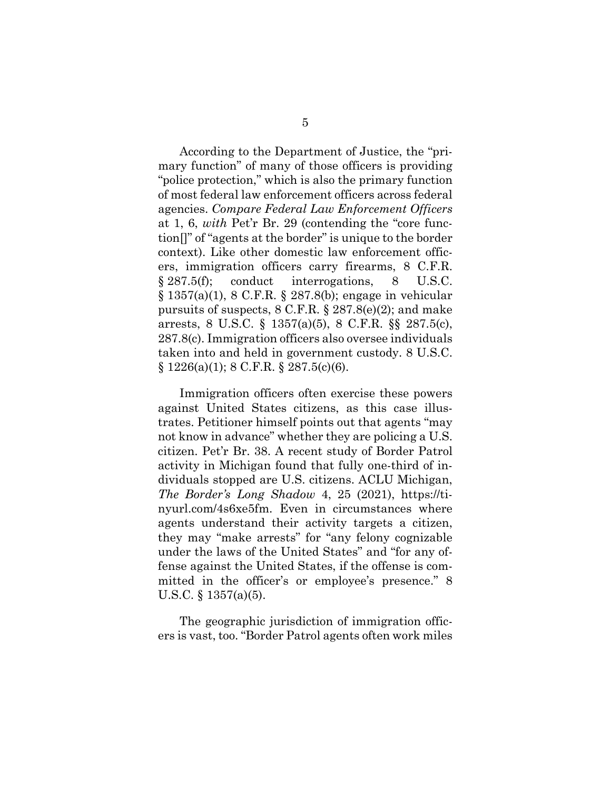According to the Department of Justice, the "primary function" of many of those officers is providing "police protection," which is also the primary function of most federal law enforcement officers across federal agencies. *Compare Federal Law Enforcement Officers* at 1, 6, *with* Pet'r Br. 29 (contending the "core function[]" of "agents at the border" is unique to the border context). Like other domestic law enforcement officers, immigration officers carry firearms, 8 C.F.R. § 287.5(f); conduct interrogations, 8 U.S.C. § 1357(a)(1), 8 C.F.R. § 287.8(b); engage in vehicular pursuits of suspects, 8 C.F.R. § 287.8(e)(2); and make arrests, 8 U.S.C. § 1357(a)(5), 8 C.F.R. §§ 287.5(c), 287.8(c). Immigration officers also oversee individuals taken into and held in government custody. 8 U.S.C.  $\S 1226(a)(1)$ ; 8 C.F.R.  $\S 287.5(c)(6)$ .

Immigration officers often exercise these powers against United States citizens, as this case illustrates. Petitioner himself points out that agents "may not know in advance" whether they are policing a U.S. citizen. Pet'r Br. 38. A recent study of Border Patrol activity in Michigan found that fully one-third of individuals stopped are U.S. citizens. ACLU Michigan, *The Border's Long Shadow* 4, 25 (2021), https://tinyurl.com/4s6xe5fm. Even in circumstances where agents understand their activity targets a citizen, they may "make arrests" for "any felony cognizable under the laws of the United States" and "for any offense against the United States, if the offense is committed in the officer's or employee's presence." 8 U.S.C. § 1357(a)(5).

The geographic jurisdiction of immigration officers is vast, too. "Border Patrol agents often work miles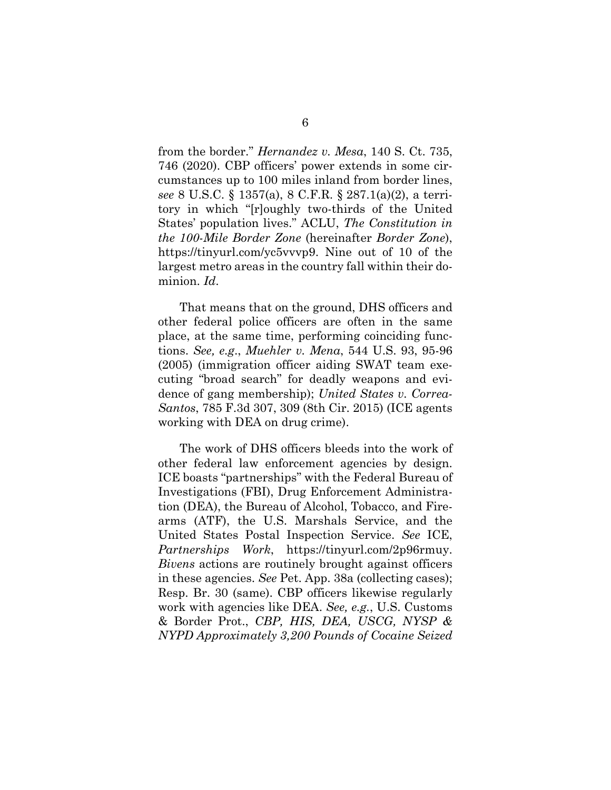from the border." *Hernandez v. Mesa*, 140 S. Ct. 735, 746 (2020). CBP officers' power extends in some circumstances up to 100 miles inland from border lines, *see* 8 U.S.C. § 1357(a), 8 C.F.R. § 287.1(a)(2), a territory in which "[r]oughly two-thirds of the United States' population lives." ACLU, *The Constitution in the 100-Mile Border Zone* (hereinafter *Border Zone*), https://tinyurl.com/yc5vvvp9. Nine out of 10 of the largest metro areas in the country fall within their dominion. *Id*.

That means that on the ground, DHS officers and other federal police officers are often in the same place, at the same time, performing coinciding functions. *See, e.g*., *Muehler v. Mena*, 544 U.S. 93, 95-96 (2005) (immigration officer aiding SWAT team executing "broad search" for deadly weapons and evidence of gang membership); *United States v. Correa-Santos*, 785 F.3d 307, 309 (8th Cir. 2015) (ICE agents working with DEA on drug crime).

The work of DHS officers bleeds into the work of other federal law enforcement agencies by design. ICE boasts "partnerships" with the Federal Bureau of Investigations (FBI), Drug Enforcement Administration (DEA), the Bureau of Alcohol, Tobacco, and Firearms (ATF), the U.S. Marshals Service, and the United States Postal Inspection Service. *See* ICE, *Partnerships Work*, https://tinyurl.com/2p96rmuy. *Bivens* actions are routinely brought against officers in these agencies. *See* Pet. App. 38a (collecting cases); Resp. Br. 30 (same). CBP officers likewise regularly work with agencies like DEA. *See, e.g.*, U.S. Customs & Border Prot., *CBP, HIS, DEA, USCG, NYSP & NYPD Approximately 3,200 Pounds of Cocaine Seized*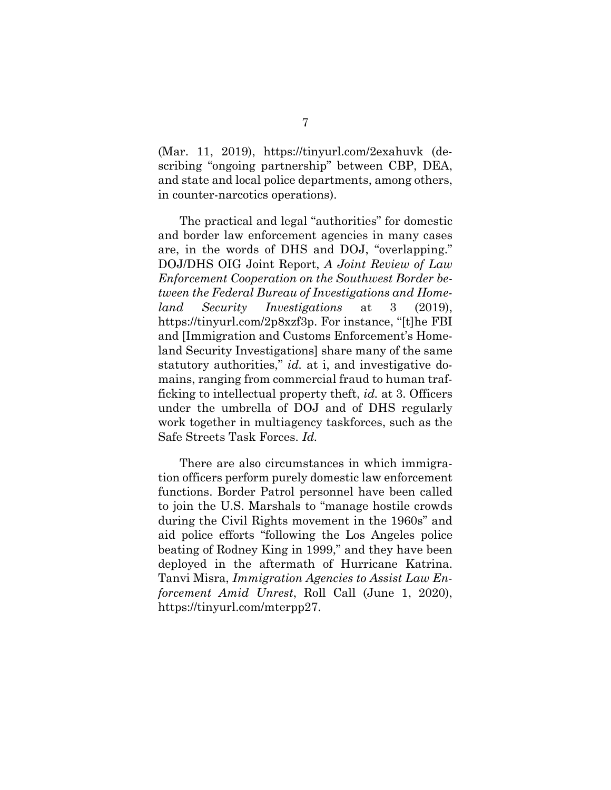(Mar. 11, 2019), https://tinyurl.com/2exahuvk (describing "ongoing partnership" between CBP, DEA, and state and local police departments, among others, in counter-narcotics operations).

The practical and legal "authorities" for domestic and border law enforcement agencies in many cases are, in the words of DHS and DOJ, "overlapping." DOJ/DHS OIG Joint Report, *A Joint Review of Law Enforcement Cooperation on the Southwest Border between the Federal Bureau of Investigations and Homeland Security Investigations* at 3 (2019), https://tinyurl.com/2p8xzf3p. For instance, "[t]he FBI and [Immigration and Customs Enforcement's Homeland Security Investigations] share many of the same statutory authorities," *id.* at i, and investigative domains, ranging from commercial fraud to human trafficking to intellectual property theft, *id.* at 3. Officers under the umbrella of DOJ and of DHS regularly work together in multiagency taskforces, such as the Safe Streets Task Forces. *Id.*

There are also circumstances in which immigration officers perform purely domestic law enforcement functions. Border Patrol personnel have been called to join the U.S. Marshals to "manage hostile crowds during the Civil Rights movement in the 1960s" and aid police efforts "following the Los Angeles police beating of Rodney King in 1999," and they have been deployed in the aftermath of Hurricane Katrina. Tanvi Misra, *Immigration Agencies to Assist Law Enforcement Amid Unrest*, Roll Call (June 1, 2020), https://tinyurl.com/mterpp27.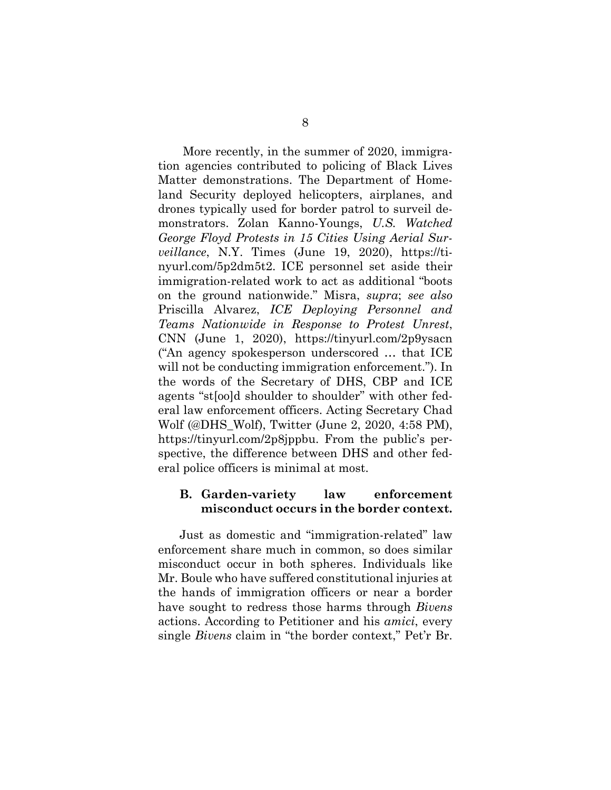More recently, in the summer of 2020, immigration agencies contributed to policing of Black Lives Matter demonstrations. The Department of Homeland Security deployed helicopters, airplanes, and drones typically used for border patrol to surveil demonstrators. Zolan Kanno-Youngs, *U.S. Watched George Floyd Protests in 15 Cities Using Aerial Surveillance*, N.Y. Times (June 19, 2020), https://tinyurl.com/5p2dm5t2. ICE personnel set aside their immigration-related work to act as additional "boots on the ground nationwide." Misra, *supra*; *see also*  Priscilla Alvarez, *ICE Deploying Personnel and Teams Nationwide in Response to Protest Unrest*, CNN (June 1, 2020), https://tinyurl.com/2p9ysacn ("An agency spokesperson underscored … that ICE will not be conducting immigration enforcement."). In the words of the Secretary of DHS, CBP and ICE agents "st[oo]d shoulder to shoulder" with other federal law enforcement officers. Acting Secretary Chad Wolf (@DHS\_Wolf), Twitter (June 2, 2020, 4:58 PM), https://tinyurl.com/2p8jppbu. From the public's perspective, the difference between DHS and other federal police officers is minimal at most.

#### <span id="page-14-0"></span>**B. Garden-variety law enforcement misconduct occurs in the border context.**

Just as domestic and "immigration-related" law enforcement share much in common, so does similar misconduct occur in both spheres. Individuals like Mr. Boule who have suffered constitutional injuries at the hands of immigration officers or near a border have sought to redress those harms through *Bivens*  actions. According to Petitioner and his *amici*, every single *Bivens* claim in "the border context," Pet'r Br.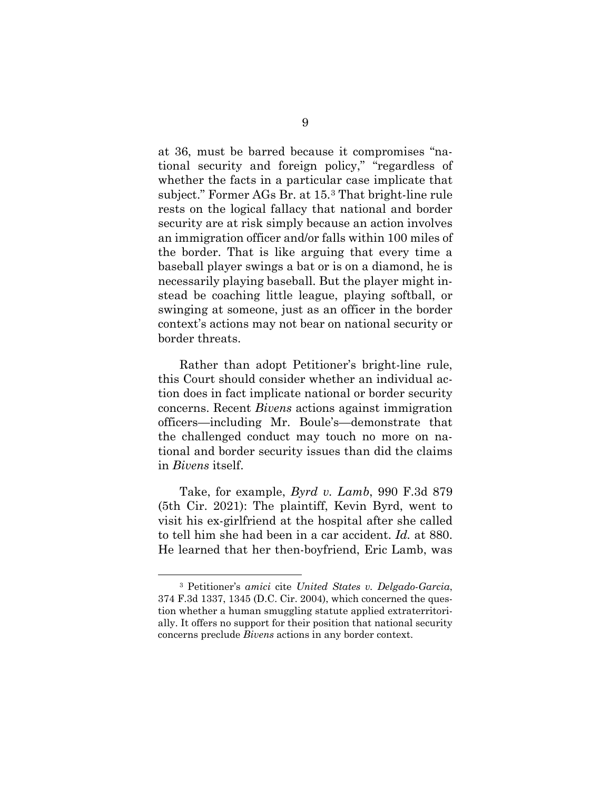at 36, must be barred because it compromises "national security and foreign policy," "regardless of whether the facts in a particular case implicate that subject." Former AGs Br. at 15.[3](#page-15-0) That bright-line rule rests on the logical fallacy that national and border security are at risk simply because an action involves an immigration officer and/or falls within 100 miles of the border. That is like arguing that every time a baseball player swings a bat or is on a diamond, he is necessarily playing baseball. But the player might instead be coaching little league, playing softball, or swinging at someone, just as an officer in the border context's actions may not bear on national security or border threats.

Rather than adopt Petitioner's bright-line rule, this Court should consider whether an individual action does in fact implicate national or border security concerns. Recent *Bivens* actions against immigration officers—including Mr. Boule's—demonstrate that the challenged conduct may touch no more on national and border security issues than did the claims in *Bivens* itself.

Take, for example, *Byrd v. Lamb*, 990 F.3d 879 (5th Cir. 2021): The plaintiff, Kevin Byrd, went to visit his ex-girlfriend at the hospital after she called to tell him she had been in a car accident. *Id.* at 880. He learned that her then-boyfriend, Eric Lamb, was

<span id="page-15-0"></span><sup>3</sup> Petitioner's *amici* cite *United States v. Delgado-Garcia*, 374 F.3d 1337, 1345 (D.C. Cir. 2004), which concerned the question whether a human smuggling statute applied extraterritorially. It offers no support for their position that national security concerns preclude *Bivens* actions in any border context.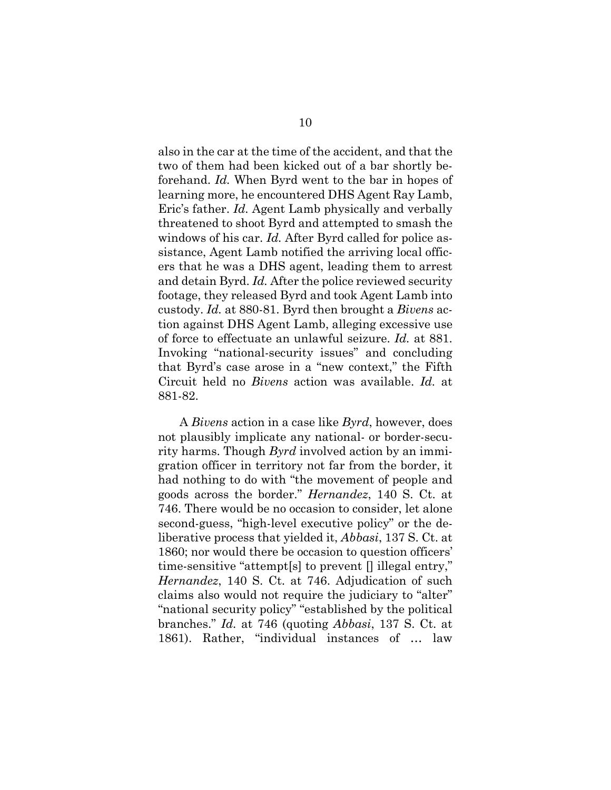also in the car at the time of the accident, and that the two of them had been kicked out of a bar shortly beforehand. *Id.* When Byrd went to the bar in hopes of learning more, he encountered DHS Agent Ray Lamb, Eric's father. *Id.* Agent Lamb physically and verbally threatened to shoot Byrd and attempted to smash the windows of his car. *Id.* After Byrd called for police assistance, Agent Lamb notified the arriving local officers that he was a DHS agent, leading them to arrest and detain Byrd. *Id.* After the police reviewed security footage, they released Byrd and took Agent Lamb into custody. *Id.* at 880-81. Byrd then brought a *Bivens* action against DHS Agent Lamb, alleging excessive use of force to effectuate an unlawful seizure. *Id.* at 881. Invoking "national-security issues" and concluding that Byrd's case arose in a "new context," the Fifth Circuit held no *Bivens* action was available. *Id.* at 881-82.

A *Bivens* action in a case like *Byrd*, however, does not plausibly implicate any national- or border-security harms. Though *Byrd* involved action by an immigration officer in territory not far from the border, it had nothing to do with "the movement of people and goods across the border." *Hernandez*, 140 S. Ct. at 746. There would be no occasion to consider, let alone second-guess, "high-level executive policy" or the deliberative process that yielded it, *Abbasi*, 137 S. Ct. at 1860; nor would there be occasion to question officers' time-sensitive "attempt[s] to prevent [] illegal entry," *Hernandez*, 140 S. Ct. at 746. Adjudication of such claims also would not require the judiciary to "alter" "national security policy" "established by the political branches." *Id.* at 746 (quoting *Abbasi*, 137 S. Ct. at 1861). Rather, "individual instances of … law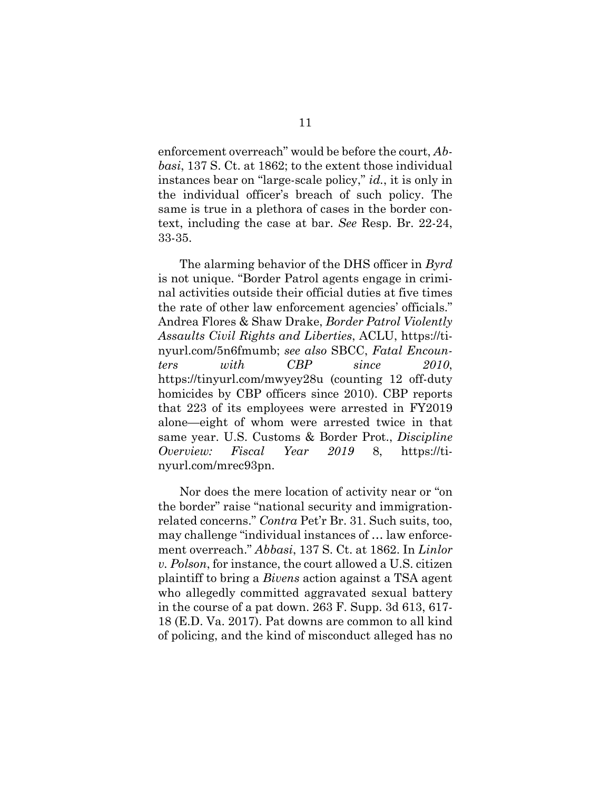enforcement overreach" would be before the court, *Abbasi*, 137 S. Ct. at 1862; to the extent those individual instances bear on "large-scale policy," *id.*, it is only in the individual officer's breach of such policy. The same is true in a plethora of cases in the border context, including the case at bar. *See* Resp. Br. 22-24, 33-35.

The alarming behavior of the DHS officer in *Byrd*  is not unique. "Border Patrol agents engage in criminal activities outside their official duties at five times the rate of other law enforcement agencies' officials." Andrea Flores & Shaw Drake, *Border Patrol Violently Assaults Civil Rights and Liberties*, ACLU, https://tinyurl.com/5n6fmumb; *see also* SBCC, *Fatal Encounters with CBP since 2010*, https://tinyurl.com/mwyey28u (counting 12 off-duty homicides by CBP officers since 2010). CBP reports that 223 of its employees were arrested in FY2019 alone—eight of whom were arrested twice in that same year. U.S. Customs & Border Prot., *Discipline Overview: Fiscal Year 2019* 8, https://tinyurl.com/mrec93pn.

Nor does the mere location of activity near or "on the border" raise "national security and immigrationrelated concerns." *Contra* Pet'r Br. 31. Such suits, too, may challenge "individual instances of … law enforcement overreach." *Abbasi*, 137 S. Ct. at 1862. In *Linlor v. Polson*, for instance, the court allowed a U.S. citizen plaintiff to bring a *Bivens* action against a TSA agent who allegedly committed aggravated sexual battery in the course of a pat down. 263 F. Supp. 3d 613, 617- 18 (E.D. Va. 2017). Pat downs are common to all kind of policing, and the kind of misconduct alleged has no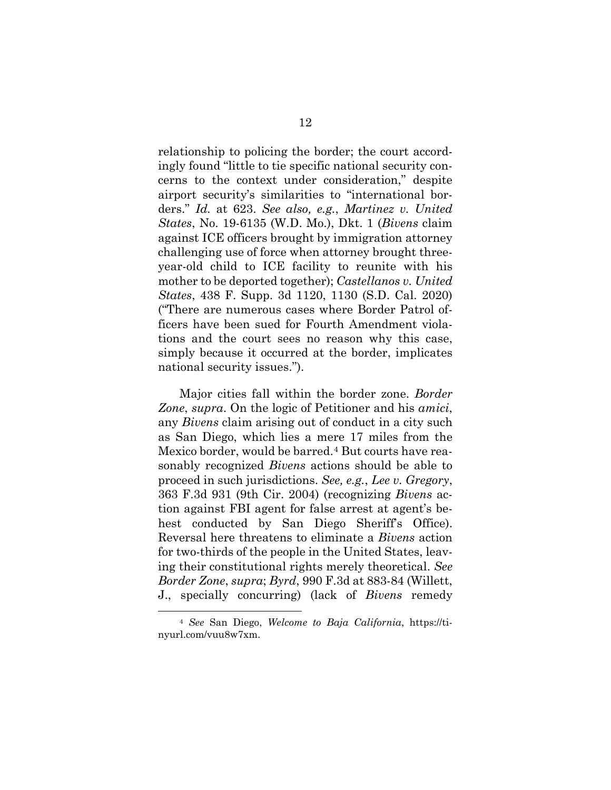relationship to policing the border; the court accordingly found "little to tie specific national security concerns to the context under consideration," despite airport security's similarities to "international borders." *Id.* at 623. *See also, e.g.*, *Martinez v. United States*, No. 19-6135 (W.D. Mo.), Dkt. 1 (*Bivens* claim against ICE officers brought by immigration attorney challenging use of force when attorney brought threeyear-old child to ICE facility to reunite with his mother to be deported together); *Castellanos v. United States*, 438 F. Supp. 3d 1120, 1130 (S.D. Cal. 2020) ("There are numerous cases where Border Patrol officers have been sued for Fourth Amendment violations and the court sees no reason why this case, simply because it occurred at the border, implicates national security issues.").

Major cities fall within the border zone. *Border Zone*, *supra*. On the logic of Petitioner and his *amici*, any *Bivens* claim arising out of conduct in a city such as San Diego, which lies a mere 17 miles from the Mexico border, would be barred.<sup>[4](#page-18-0)</sup> But courts have reasonably recognized *Bivens* actions should be able to proceed in such jurisdictions. *See, e.g.*, *Lee v. Gregory*, 363 F.3d 931 (9th Cir. 2004) (recognizing *Bivens* action against FBI agent for false arrest at agent's behest conducted by San Diego Sheriff's Office). Reversal here threatens to eliminate a *Bivens* action for two-thirds of the people in the United States, leaving their constitutional rights merely theoretical. *See Border Zone*, *supra*; *Byrd*, 990 F.3d at 883-84 (Willett, J., specially concurring) (lack of *Bivens* remedy

<span id="page-18-0"></span><sup>4</sup> *See* San Diego, *Welcome to Baja California*, https://tinyurl.com/vuu8w7xm.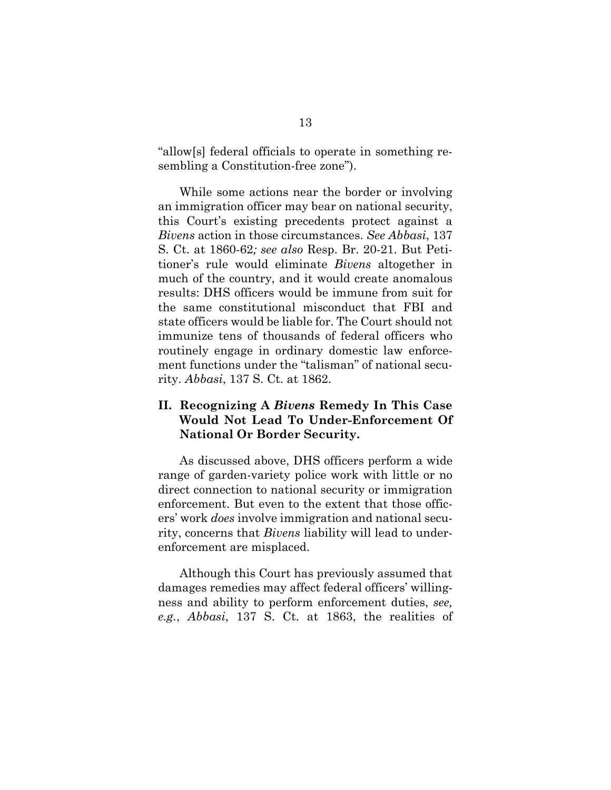"allow[s] federal officials to operate in something resembling a Constitution-free zone").

While some actions near the border or involving an immigration officer may bear on national security, this Court's existing precedents protect against a *Bivens* action in those circumstances. *See Abbasi*, 137 S. Ct. at 1860-62*; see also* Resp. Br. 20-21. But Petitioner's rule would eliminate *Bivens* altogether in much of the country, and it would create anomalous results: DHS officers would be immune from suit for the same constitutional misconduct that FBI and state officers would be liable for. The Court should not immunize tens of thousands of federal officers who routinely engage in ordinary domestic law enforcement functions under the "talisman" of national security. *Abbasi*, 137 S. Ct. at 1862.

#### <span id="page-19-0"></span>**II. Recognizing A** *Bivens* **Remedy In This Case Would Not Lead To Under-Enforcement Of National Or Border Security.**

As discussed above, DHS officers perform a wide range of garden-variety police work with little or no direct connection to national security or immigration enforcement. But even to the extent that those officers' work *does* involve immigration and national security, concerns that *Bivens* liability will lead to underenforcement are misplaced.

Although this Court has previously assumed that damages remedies may affect federal officers' willingness and ability to perform enforcement duties, *see, e.g.*, *Abbasi*, 137 S. Ct. at 1863, the realities of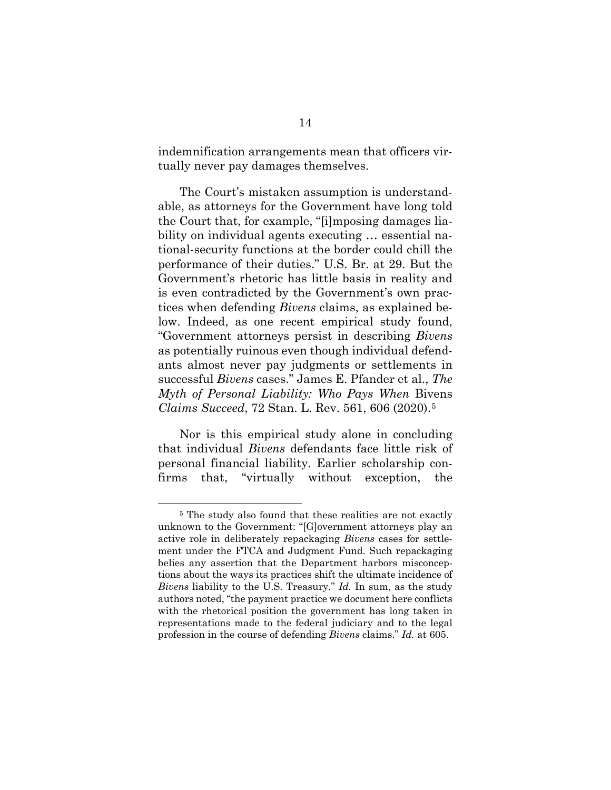indemnification arrangements mean that officers virtually never pay damages themselves.

The Court's mistaken assumption is understandable, as attorneys for the Government have long told the Court that, for example, "[i]mposing damages liability on individual agents executing … essential national-security functions at the border could chill the performance of their duties." U.S. Br. at 29. But the Government's rhetoric has little basis in reality and is even contradicted by the Government's own practices when defending *Bivens* claims, as explained below. Indeed, as one recent empirical study found, "Government attorneys persist in describing *Bivens*  as potentially ruinous even though individual defendants almost never pay judgments or settlements in successful *Bivens* cases." James E. Pfander et al., *The Myth of Personal Liability: Who Pays When* Bivens *Claims Succeed*, 72 Stan. L. Rev. 561, 606 (2020).[5](#page-20-0)

Nor is this empirical study alone in concluding that individual *Bivens* defendants face little risk of personal financial liability. Earlier scholarship confirms that, "virtually without exception, the

<span id="page-20-0"></span><sup>5</sup> The study also found that these realities are not exactly unknown to the Government: "[G]overnment attorneys play an active role in deliberately repackaging *Bivens* cases for settlement under the FTCA and Judgment Fund. Such repackaging belies any assertion that the Department harbors misconceptions about the ways its practices shift the ultimate incidence of *Bivens* liability to the U.S. Treasury." *Id.* In sum, as the study authors noted, "the payment practice we document here conflicts with the rhetorical position the government has long taken in representations made to the federal judiciary and to the legal profession in the course of defending *Bivens* claims." *Id.* at 605.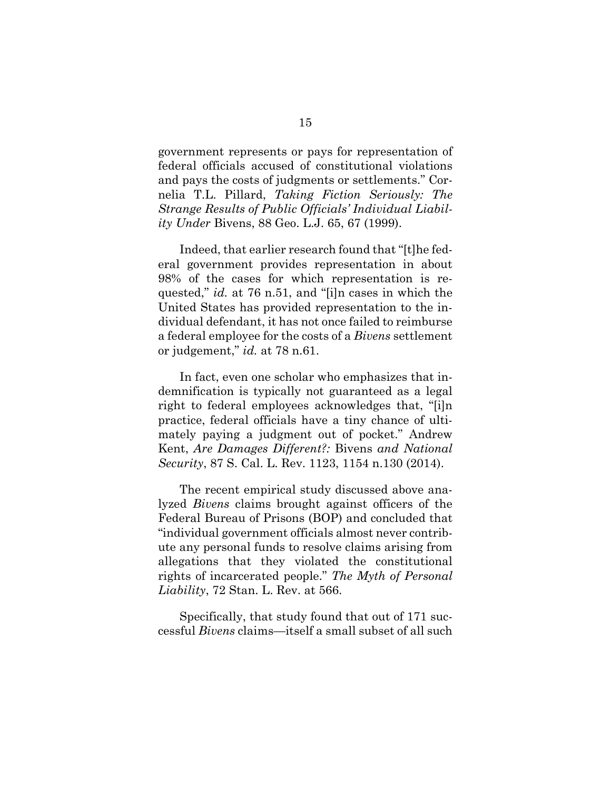government represents or pays for representation of federal officials accused of constitutional violations and pays the costs of judgments or settlements." Cornelia T.L. Pillard, *Taking Fiction Seriously: The Strange Results of Public Officials' Individual Liability Under* Bivens, 88 Geo. L.J. 65, 67 (1999).

Indeed, that earlier research found that "[t]he federal government provides representation in about 98% of the cases for which representation is requested," *id.* at 76 n.51, and "[i]n cases in which the United States has provided representation to the individual defendant, it has not once failed to reimburse a federal employee for the costs of a *Bivens* settlement or judgement," *id.* at 78 n.61.

In fact, even one scholar who emphasizes that indemnification is typically not guaranteed as a legal right to federal employees acknowledges that, "[i]n practice, federal officials have a tiny chance of ultimately paying a judgment out of pocket." Andrew Kent, *Are Damages Different?:* Bivens *and National Security*, 87 S. Cal. L. Rev. 1123, 1154 n.130 (2014).

The recent empirical study discussed above analyzed *Bivens* claims brought against officers of the Federal Bureau of Prisons (BOP) and concluded that "individual government officials almost never contribute any personal funds to resolve claims arising from allegations that they violated the constitutional rights of incarcerated people." *The Myth of Personal Liability*, 72 Stan. L. Rev. at 566.

Specifically, that study found that out of 171 successful *Bivens* claims—itself a small subset of all such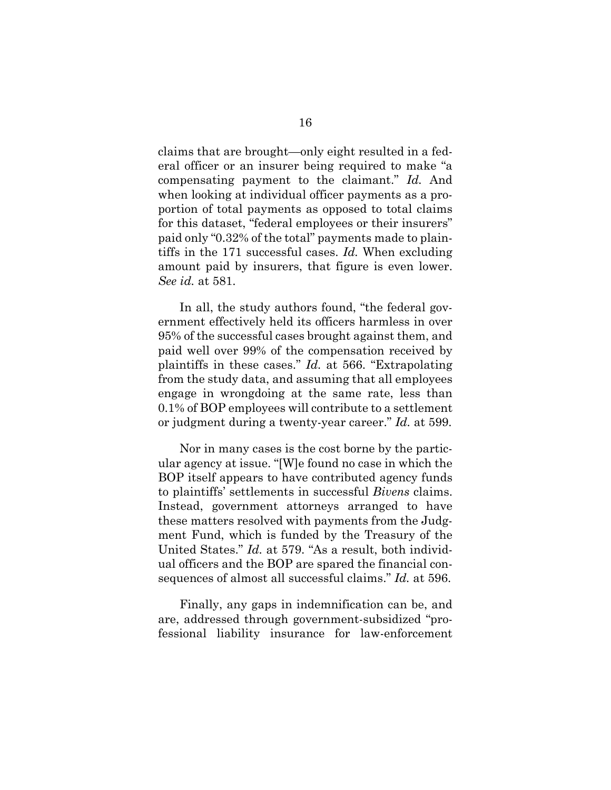claims that are brought—only eight resulted in a federal officer or an insurer being required to make "a compensating payment to the claimant." *Id.* And when looking at individual officer payments as a proportion of total payments as opposed to total claims for this dataset, "federal employees or their insurers" paid only "0.32% of the total" payments made to plaintiffs in the 171 successful cases. *Id.* When excluding amount paid by insurers, that figure is even lower. *See id.* at 581.

In all, the study authors found, "the federal government effectively held its officers harmless in over 95% of the successful cases brought against them, and paid well over 99% of the compensation received by plaintiffs in these cases." *Id.* at 566. "Extrapolating from the study data, and assuming that all employees engage in wrongdoing at the same rate, less than 0.1% of BOP employees will contribute to a settlement or judgment during a twenty-year career." *Id.* at 599.

Nor in many cases is the cost borne by the particular agency at issue. "[W]e found no case in which the BOP itself appears to have contributed agency funds to plaintiffs' settlements in successful *Bivens* claims. Instead, government attorneys arranged to have these matters resolved with payments from the Judgment Fund, which is funded by the Treasury of the United States." *Id.* at 579. "As a result, both individual officers and the BOP are spared the financial consequences of almost all successful claims." *Id.* at 596.

Finally, any gaps in indemnification can be, and are, addressed through government-subsidized "professional liability insurance for law-enforcement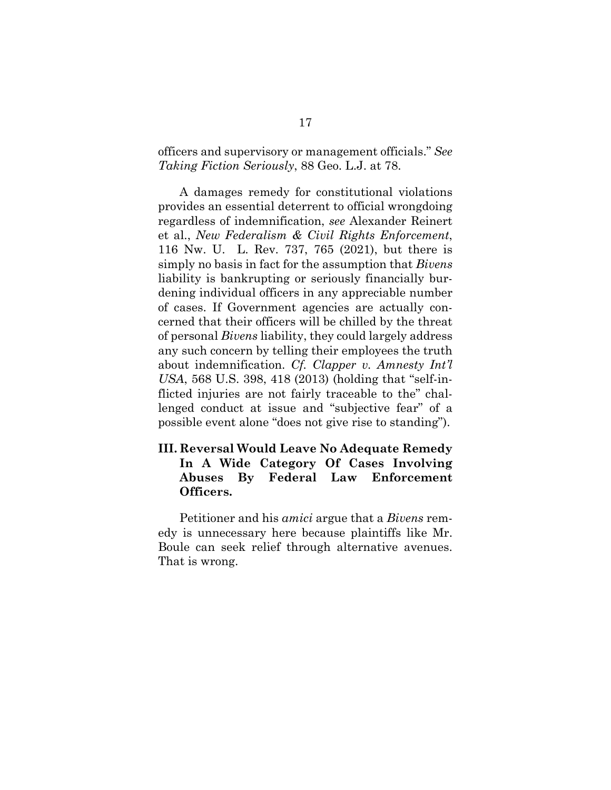officers and supervisory or management officials." *See Taking Fiction Seriously*, 88 Geo. L.J. at 78.

A damages remedy for constitutional violations provides an essential deterrent to official wrongdoing regardless of indemnification, *see* Alexander Reinert et al., *New Federalism & Civil Rights Enforcement*, 116 Nw. U. L. Rev. 737, 765 (2021), but there is simply no basis in fact for the assumption that *Bivens* liability is bankrupting or seriously financially burdening individual officers in any appreciable number of cases. If Government agencies are actually concerned that their officers will be chilled by the threat of personal *Bivens* liability, they could largely address any such concern by telling their employees the truth about indemnification. *Cf. Clapper v. Amnesty Int'l USA*, 568 U.S. 398, 418 (2013) (holding that "self-inflicted injuries are not fairly traceable to the" challenged conduct at issue and "subjective fear" of a possible event alone "does not give rise to standing").

### <span id="page-23-0"></span>**III. Reversal Would Leave No Adequate Remedy In A Wide Category Of Cases Involving Abuses By Federal Law Enforcement Officers.**

Petitioner and his *amici* argue that a *Bivens* remedy is unnecessary here because plaintiffs like Mr. Boule can seek relief through alternative avenues. That is wrong.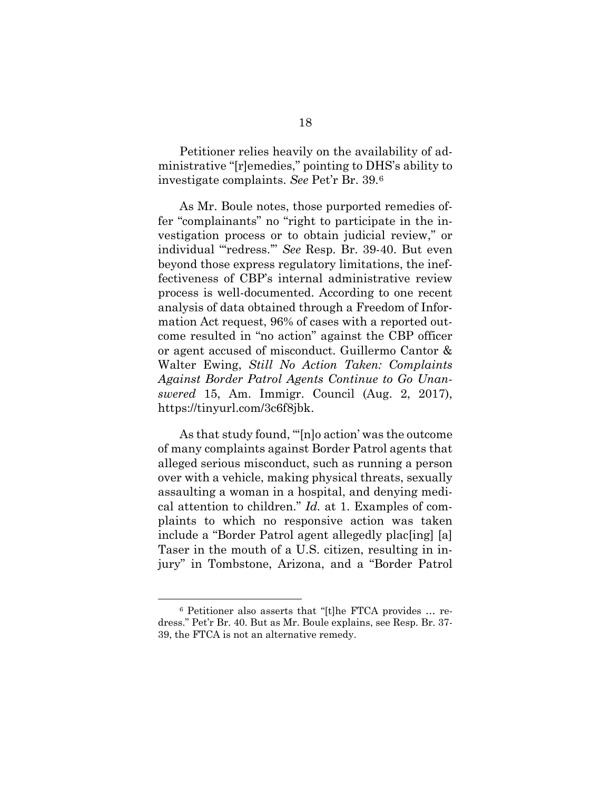Petitioner relies heavily on the availability of administrative "[r]emedies," pointing to DHS's ability to investigate complaints. *See* Pet'r Br. 39.[6](#page-24-0)

As Mr. Boule notes, those purported remedies offer "complainants" no "right to participate in the investigation process or to obtain judicial review," or individual "'redress.'" *See* Resp. Br. 39-40. But even beyond those express regulatory limitations, the ineffectiveness of CBP's internal administrative review process is well-documented. According to one recent analysis of data obtained through a Freedom of Information Act request, 96% of cases with a reported outcome resulted in "no action" against the CBP officer or agent accused of misconduct. Guillermo Cantor & Walter Ewing, *Still No Action Taken: Complaints Against Border Patrol Agents Continue to Go Unanswered* 15, Am. Immigr. Council (Aug. 2, 2017), https://tinyurl.com/3c6f8jbk.

As that study found, "'[n]o action' was the outcome of many complaints against Border Patrol agents that alleged serious misconduct, such as running a person over with a vehicle, making physical threats, sexually assaulting a woman in a hospital, and denying medical attention to children." *Id.* at 1. Examples of complaints to which no responsive action was taken include a "Border Patrol agent allegedly plac[ing] [a] Taser in the mouth of a U.S. citizen, resulting in injury" in Tombstone, Arizona, and a "Border Patrol

<span id="page-24-0"></span><sup>6</sup> Petitioner also asserts that "[t]he FTCA provides … redress." Pet'r Br. 40. But as Mr. Boule explains, see Resp. Br. 37- 39, the FTCA is not an alternative remedy.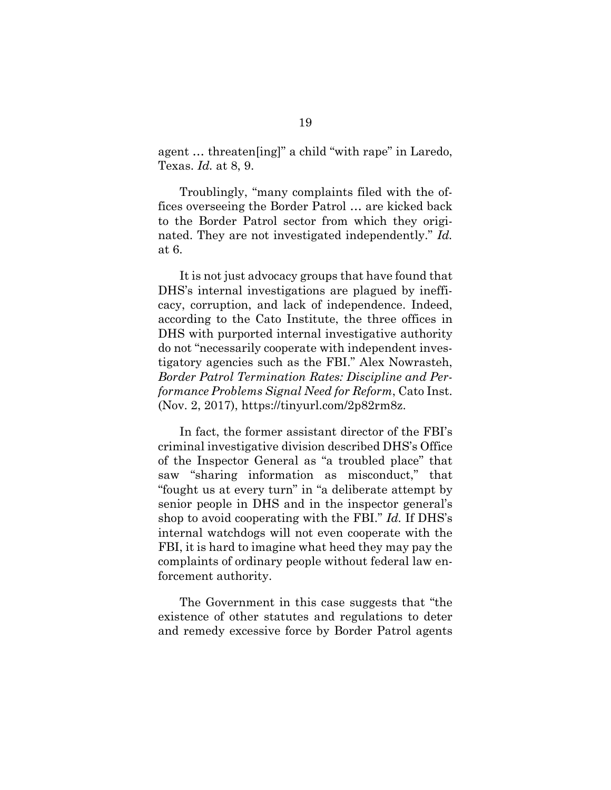agent … threaten[ing]" a child "with rape" in Laredo, Texas. *Id.* at 8, 9.

Troublingly, "many complaints filed with the offices overseeing the Border Patrol … are kicked back to the Border Patrol sector from which they originated. They are not investigated independently." *Id.* at 6.

It is not just advocacy groups that have found that DHS's internal investigations are plagued by inefficacy, corruption, and lack of independence. Indeed, according to the Cato Institute, the three offices in DHS with purported internal investigative authority do not "necessarily cooperate with independent investigatory agencies such as the FBI." Alex Nowrasteh, *Border Patrol Termination Rates: Discipline and Performance Problems Signal Need for Reform*, Cato Inst. (Nov. 2, 2017), https://tinyurl.com/2p82rm8z.

In fact, the former assistant director of the FBI's criminal investigative division described DHS's Office of the Inspector General as "a troubled place" that saw "sharing information as misconduct," that "fought us at every turn" in "a deliberate attempt by senior people in DHS and in the inspector general's shop to avoid cooperating with the FBI." *Id.* If DHS's internal watchdogs will not even cooperate with the FBI, it is hard to imagine what heed they may pay the complaints of ordinary people without federal law enforcement authority.

The Government in this case suggests that "the existence of other statutes and regulations to deter and remedy excessive force by Border Patrol agents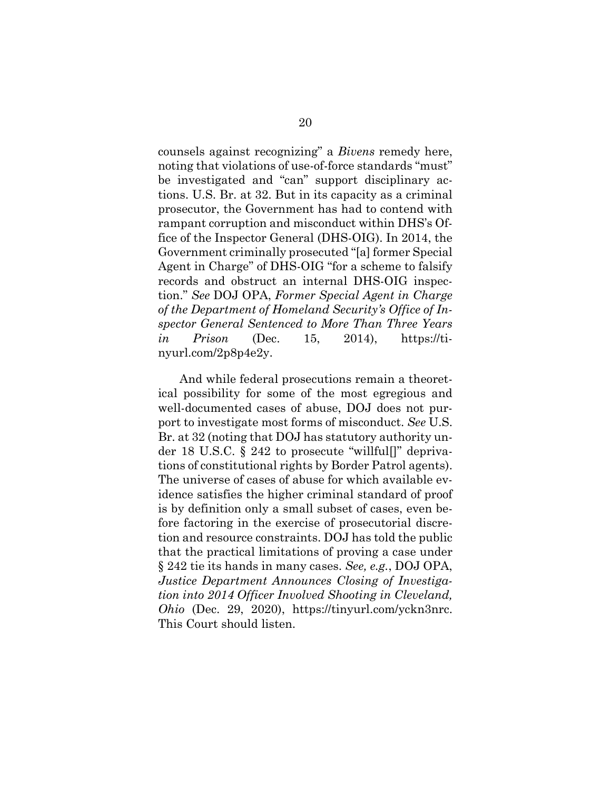counsels against recognizing" a *Bivens* remedy here, noting that violations of use-of-force standards "must" be investigated and "can" support disciplinary actions. U.S. Br. at 32. But in its capacity as a criminal prosecutor, the Government has had to contend with rampant corruption and misconduct within DHS's Office of the Inspector General (DHS-OIG). In 2014, the Government criminally prosecuted "[a] former Special Agent in Charge" of DHS-OIG "for a scheme to falsify records and obstruct an internal DHS-OIG inspection." *See* DOJ OPA, *Former Special Agent in Charge of the Department of Homeland Security's Office of Inspector General Sentenced to More Than Three Years in Prison* (Dec. 15, 2014), https://tinyurl.com/2p8p4e2y.

And while federal prosecutions remain a theoretical possibility for some of the most egregious and well-documented cases of abuse, DOJ does not purport to investigate most forms of misconduct. *See* U.S. Br. at 32 (noting that DOJ has statutory authority under 18 U.S.C. § 242 to prosecute "willful[]" deprivations of constitutional rights by Border Patrol agents). The universe of cases of abuse for which available evidence satisfies the higher criminal standard of proof is by definition only a small subset of cases, even before factoring in the exercise of prosecutorial discretion and resource constraints. DOJ has told the public that the practical limitations of proving a case under § 242 tie its hands in many cases. *See, e.g.*, DOJ OPA, *Justice Department Announces Closing of Investigation into 2014 Officer Involved Shooting in Cleveland, Ohio* (Dec. 29, 2020), https://tinyurl.com/yckn3nrc. This Court should listen.